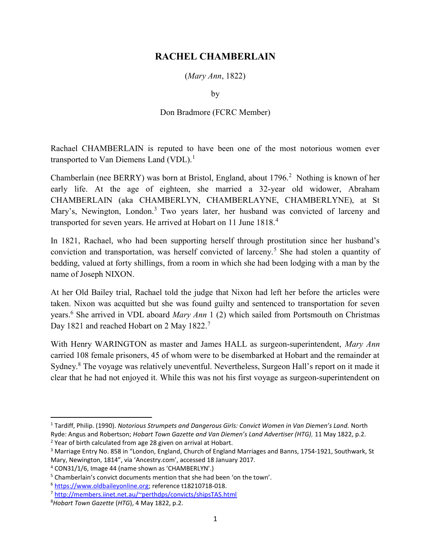## RACHEL CHAMBERLAIN

(Mary Ann, 1822)

by

## Don Bradmore (FCRC Member)

Rachael CHAMBERLAIN is reputed to have been one of the most notorious women ever transported to Van Diemens Land (VDL).<sup>1</sup>

Chamberlain (nee BERRY) was born at Bristol, England, about 1796.<sup>2</sup> Nothing is known of her early life. At the age of eighteen, she married a 32-year old widower, Abraham CHAMBERLAIN (aka CHAMBERLYN, CHAMBERLAYNE, CHAMBERLYNE), at St Mary's, Newington, London.<sup>3</sup> Two years later, her husband was convicted of larceny and transported for seven years. He arrived at Hobart on 11 June 1818.<sup>4</sup>

In 1821, Rachael, who had been supporting herself through prostitution since her husband's conviction and transportation, was herself convicted of larceny.<sup>5</sup> She had stolen a quantity of bedding, valued at forty shillings, from a room in which she had been lodging with a man by the name of Joseph NIXON.

At her Old Bailey trial, Rachael told the judge that Nixon had left her before the articles were taken. Nixon was acquitted but she was found guilty and sentenced to transportation for seven years.<sup>6</sup> She arrived in VDL aboard Mary Ann 1 (2) which sailed from Portsmouth on Christmas Day 1821 and reached Hobart on 2 May 1822.<sup>7</sup>

With Henry WARINGTON as master and James HALL as surgeon-superintendent, Mary Ann carried 108 female prisoners, 45 of whom were to be disembarked at Hobart and the remainder at Sydney.<sup>8</sup> The voyage was relatively uneventful. Nevertheless, Surgeon Hall's report on it made it clear that he had not enjoyed it. While this was not his first voyage as surgeon-superintendent on

<sup>&</sup>lt;sup>1</sup> Tardiff, Philip. (1990). Notorious Strumpets and Dangerous Girls: Convict Women in Van Diemen's Land. North Ryde: Angus and Robertson; Hobart Town Gazette and Van Diemen's Land Advertiser (HTG), 11 May 1822, p.2. <sup>2</sup> Year of birth calculated from age 28 given on arrival at Hobart.

<sup>&</sup>lt;sup>3</sup> Marriage Entry No. 858 in "London, England, Church of England Marriages and Banns, 1754-1921, Southwark, St Mary, Newington, 1814", via 'Ancestry.com', accessed 18 January 2017.

<sup>4</sup> CON31/1/6, Image 44 (name shown as 'CHAMBERLYN'.)

<sup>&</sup>lt;sup>5</sup> Chamberlain's convict documents mention that she had been 'on the town'.

<sup>6</sup> https://www.oldbaileyonline.org; reference t18210718-018.

<sup>7</sup> http://members.iinet.net.au/~perthdps/convicts/shipsTAS.html

<sup>&</sup>lt;sup>8</sup>Hobart Town Gazette (HTG), 4 May 1822, p.2.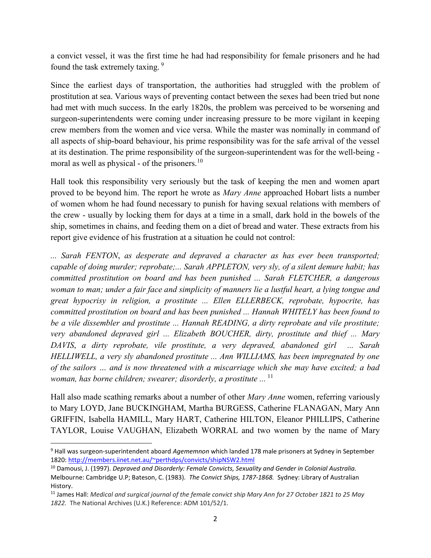a convict vessel, it was the first time he had had responsibility for female prisoners and he had found the task extremely taxing. 9

Since the earliest days of transportation, the authorities had struggled with the problem of prostitution at sea. Various ways of preventing contact between the sexes had been tried but none had met with much success. In the early 1820s, the problem was perceived to be worsening and surgeon-superintendents were coming under increasing pressure to be more vigilant in keeping crew members from the women and vice versa. While the master was nominally in command of all aspects of ship-board behaviour, his prime responsibility was for the safe arrival of the vessel at its destination. The prime responsibility of the surgeon-superintendent was for the well-being moral as well as physical - of the prisoners.<sup>10</sup>

Hall took this responsibility very seriously but the task of keeping the men and women apart proved to be beyond him. The report he wrote as *Mary Anne* approached Hobart lists a number of women whom he had found necessary to punish for having sexual relations with members of the crew - usually by locking them for days at a time in a small, dark hold in the bowels of the ship, sometimes in chains, and feeding them on a diet of bread and water. These extracts from his report give evidence of his frustration at a situation he could not control:

... Sarah FENTON, as desperate and depraved a character as has ever been transported; capable of doing murder; reprobate;... Sarah APPLETON, very sly, of a silent demure habit; has committed prostitution on board and has been punished ... Sarah FLETCHER, a dangerous woman to man; under a fair face and simplicity of manners lie a lustful heart, a lying tongue and great hypocrisy in religion, a prostitute ... Ellen ELLERBECK, reprobate, hypocrite, has committed prostitution on board and has been punished ... Hannah WHITELY has been found to be a vile dissembler and prostitute ... Hannah READING, a dirty reprobate and vile prostitute; very abandoned depraved girl ... Elizabeth BOUCHER, dirty, prostitute and thief ... Mary DAVIS, a dirty reprobate, vile prostitute, a very depraved, abandoned girl ... Sarah HELLIWELL, a very sly abandoned prostitute ... Ann WILLIAMS, has been impregnated by one of the sailors … and is now threatened with a miscarriage which she may have excited; a bad woman, has borne children; swearer; disorderly, a prostitute  $\ldots$  <sup>11</sup>

Hall also made scathing remarks about a number of other *Mary Anne* women, referring variously to Mary LOYD, Jane BUCKINGHAM, Martha BURGESS, Catherine FLANAGAN, Mary Ann GRIFFIN, Isabella HAMILL, Mary HART, Catherine HILTON, Eleanor PHILLIPS, Catherine TAYLOR, Louise VAUGHAN, Elizabeth WORRAL and two women by the name of Mary

 $\overline{a}$ 

<sup>&</sup>lt;sup>9</sup> Hall was surgeon-superintendent aboard Agememnon which landed 178 male prisoners at Sydney in September 1820: http://members.iinet.net.au/~perthdps/convicts/shipNSW2.html

<sup>&</sup>lt;sup>10</sup> Damousi, J. (1997). Depraved and Disorderly: Female Convicts, Sexuality and Gender in Colonial Australia. Melbourne: Cambridge U.P; Bateson, C. (1983). The Convict Ships, 1787-1868. Sydney: Library of Australian History.

 $11$  James Hall: Medical and surgical journal of the female convict ship Mary Ann for 27 October 1821 to 25 May 1822. The National Archives (U.K.) Reference: ADM 101/52/1.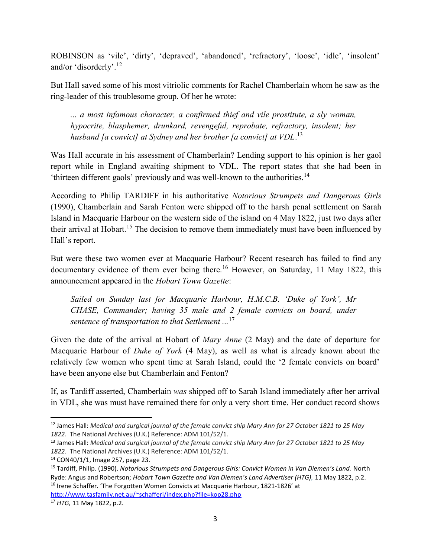ROBINSON as 'vile', 'dirty', 'depraved', 'abandoned', 'refractory', 'loose', 'idle', 'insolent' and/or 'disorderly'.<sup>12</sup>

But Hall saved some of his most vitriolic comments for Rachel Chamberlain whom he saw as the ring-leader of this troublesome group. Of her he wrote:

... a most infamous character, a confirmed thief and vile prostitute, a sly woman, hypocrite, blasphemer, drunkard, revengeful, reprobate, refractory, insolent; her husband [a convict] at Sydney and her brother [a convict] at  $VDL$ .<sup>13</sup>

Was Hall accurate in his assessment of Chamberlain? Lending support to his opinion is her gaol report while in England awaiting shipment to VDL. The report states that she had been in 'thirteen different gaols' previously and was well-known to the authorities.<sup>14</sup>

According to Philip TARDIFF in his authoritative Notorious Strumpets and Dangerous Girls (1990), Chamberlain and Sarah Fenton were shipped off to the harsh penal settlement on Sarah Island in Macquarie Harbour on the western side of the island on 4 May 1822, just two days after their arrival at Hobart.<sup>15</sup> The decision to remove them immediately must have been influenced by Hall's report.

But were these two women ever at Macquarie Harbour? Recent research has failed to find any documentary evidence of them ever being there.<sup>16</sup> However, on Saturday, 11 May 1822, this announcement appeared in the Hobart Town Gazette:

Sailed on Sunday last for Macquarie Harbour, H.M.C.B. 'Duke of York', Mr CHASE, Commander; having 35 male and 2 female convicts on board, under sentence of transportation to that Settlement  $\ldots$ <sup>17</sup>

Given the date of the arrival at Hobart of Mary Anne (2 May) and the date of departure for Macquarie Harbour of Duke of York (4 May), as well as what is already known about the relatively few women who spent time at Sarah Island, could the '2 female convicts on board' have been anyone else but Chamberlain and Fenton?

If, as Tardiff asserted, Chamberlain was shipped off to Sarah Island immediately after her arrival in VDL, she was must have remained there for only a very short time. Her conduct record shows

<sup>&</sup>lt;sup>12</sup> James Hall: Medical and surgical journal of the female convict ship Mary Ann for 27 October 1821 to 25 May 1822. The National Archives (U.K.) Reference: ADM 101/52/1.

<sup>&</sup>lt;sup>13</sup> James Hall: Medical and surgical journal of the female convict ship Mary Ann for 27 October 1821 to 25 May 1822. The National Archives (U.K.) Reference: ADM 101/52/1.

<sup>14</sup> CON40/1/1, Image 257, page 23.

<sup>&</sup>lt;sup>15</sup> Tardiff, Philip. (1990). Notorious Strumpets and Dangerous Girls: Convict Women in Van Diemen's Land. North Ryde: Angus and Robertson; Hobart Town Gazette and Van Diemen's Land Advertiser (HTG), 11 May 1822, p.2. <sup>16</sup> Irene Schaffer. 'The Forgotten Women Convicts at Macquarie Harbour, 1821-1826' at http://www.tasfamily.net.au/~schafferi/index.php?file=kop28.php

<sup>&</sup>lt;sup>17</sup> HTG, 11 May 1822, p.2.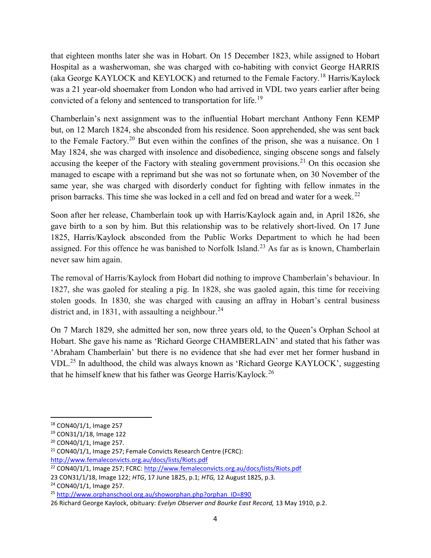that eighteen months later she was in Hobart. On 15 December 1823, while assigned to Hobart Hospital as a washerwoman, she was charged with co-habiting with convict George HARRIS (aka George KAYLOCK and KEYLOCK) and returned to the Female Factory.<sup>18</sup> Harris/Kaylock was a 21 year-old shoemaker from London who had arrived in VDL two years earlier after being convicted of a felony and sentenced to transportation for life.<sup>19</sup>

Chamberlain's next assignment was to the influential Hobart merchant Anthony Fenn KEMP but, on 12 March 1824, she absconded from his residence. Soon apprehended, she was sent back to the Female Factory.<sup>20</sup> But even within the confines of the prison, she was a nuisance. On 1 May 1824, she was charged with insolence and disobedience, singing obscene songs and falsely accusing the keeper of the Factory with stealing government provisions.<sup>21</sup> On this occasion she managed to escape with a reprimand but she was not so fortunate when, on 30 November of the same year, she was charged with disorderly conduct for fighting with fellow inmates in the prison barracks. This time she was locked in a cell and fed on bread and water for a week.<sup>22</sup>

Soon after her release, Chamberlain took up with Harris/Kaylock again and, in April 1826, she gave birth to a son by him. But this relationship was to be relatively short-lived. On 17 June 1825, Harris/Kaylock absconded from the Public Works Department to which he had been assigned. For this offence he was banished to Norfolk Island.<sup>23</sup> As far as is known, Chamberlain never saw him again.

The removal of Harris/Kaylock from Hobart did nothing to improve Chamberlain's behaviour. In 1827, she was gaoled for stealing a pig. In 1828, she was gaoled again, this time for receiving stolen goods. In 1830, she was charged with causing an affray in Hobart's central business district and, in 1831, with assaulting a neighbour.<sup>24</sup>

On 7 March 1829, she admitted her son, now three years old, to the Queen's Orphan School at Hobart. She gave his name as 'Richard George CHAMBERLAIN' and stated that his father was 'Abraham Chamberlain' but there is no evidence that she had ever met her former husband in VDL.<sup>25</sup> In adulthood, the child was always known as 'Richard George KAYLOCK', suggesting that he himself knew that his father was George Harris/Kaylock.<sup>26</sup>

<sup>18</sup> CON40/1/1, Image 257

<sup>19</sup> CON31/1/18, Image 122

<sup>20</sup> CON40/1/1, Image 257.

<sup>21</sup> CON40/1/1, Image 257; Female Convicts Research Centre (FCRC): http://www.femaleconvicts.org.au/docs/lists/Riots.pdf

<sup>&</sup>lt;sup>22</sup> CON40/1/1, Image 257; FCRC: http://www.femaleconvicts.org.au/docs/lists/Riots.pdf

<sup>23</sup> CON31/1/18, Image 122; HTG, 17 June 1825, p.1; HTG, 12 August 1825, p.3.

<sup>24</sup> CON40/1/1, Image 257.

<sup>25</sup> http://www.orphanschool.org.au/showorphan.php?orphan\_ID=890

<sup>26</sup> Richard George Kaylock, obituary: Evelyn Observer and Bourke East Record, 13 May 1910, p.2.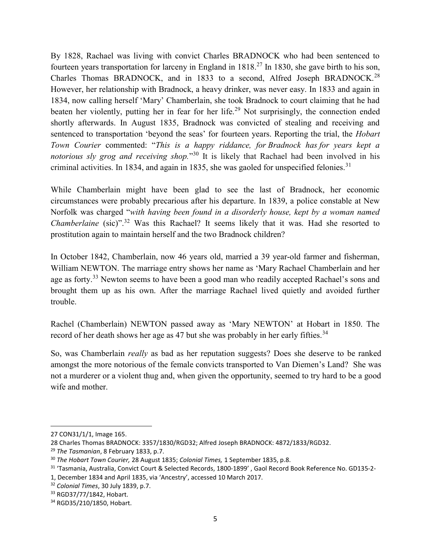By 1828, Rachael was living with convict Charles BRADNOCK who had been sentenced to fourteen years transportation for larceny in England in 1818.<sup>27</sup> In 1830, she gave birth to his son, Charles Thomas BRADNOCK, and in 1833 to a second, Alfred Joseph BRADNOCK.<sup>28</sup> However, her relationship with Bradnock, a heavy drinker, was never easy. In 1833 and again in 1834, now calling herself 'Mary' Chamberlain, she took Bradnock to court claiming that he had beaten her violently, putting her in fear for her life.<sup>29</sup> Not surprisingly, the connection ended shortly afterwards. In August 1835, Bradnock was convicted of stealing and receiving and sentenced to transportation 'beyond the seas' for fourteen years. Reporting the trial, the Hobart Town Courier commented: "This is a happy riddance, for Bradnock has for years kept a notorious sly grog and receiving shop."<sup>30</sup> It is likely that Rachael had been involved in his criminal activities. In 1834, and again in 1835, she was gaoled for unspecified felonies.<sup>31</sup>

While Chamberlain might have been glad to see the last of Bradnock, her economic circumstances were probably precarious after his departure. In 1839, a police constable at New Norfolk was charged "with having been found in a disorderly house, kept by a woman named Chamberlaine (sic)".<sup>32</sup> Was this Rachael? It seems likely that it was. Had she resorted to prostitution again to maintain herself and the two Bradnock children?

In October 1842, Chamberlain, now 46 years old, married a 39 year-old farmer and fisherman, William NEWTON. The marriage entry shows her name as 'Mary Rachael Chamberlain and her age as forty.<sup>33</sup> Newton seems to have been a good man who readily accepted Rachael's sons and brought them up as his own. After the marriage Rachael lived quietly and avoided further trouble.

Rachel (Chamberlain) NEWTON passed away as 'Mary NEWTON' at Hobart in 1850. The record of her death shows her age as 47 but she was probably in her early fifties.<sup>34</sup>

So, was Chamberlain really as bad as her reputation suggests? Does she deserve to be ranked amongst the more notorious of the female convicts transported to Van Diemen's Land? She was not a murderer or a violent thug and, when given the opportunity, seemed to try hard to be a good wife and mother.

 $\overline{a}$ 

<sup>27</sup> CON31/1/1, Image 165.

<sup>28</sup> Charles Thomas BRADNOCK: 3357/1830/RGD32; Alfred Joseph BRADNOCK: 4872/1833/RGD32.

<sup>&</sup>lt;sup>29</sup> The Tasmanian, 8 February 1833, p.7.

<sup>&</sup>lt;sup>30</sup> The Hobart Town Courier, 28 August 1835; Colonial Times, 1 September 1835, p.8.

<sup>31</sup> 'Tasmania, Australia, Convict Court & Selected Records, 1800-1899' , Gaol Record Book Reference No. GD135-2-

<sup>1,</sup> December 1834 and April 1835, via 'Ancestry', accessed 10 March 2017.

<sup>&</sup>lt;sup>32</sup> Colonial Times, 30 July 1839, p.7.

<sup>33</sup> RGD37/77/1842, Hobart.

<sup>34</sup> RGD35/210/1850, Hobart.